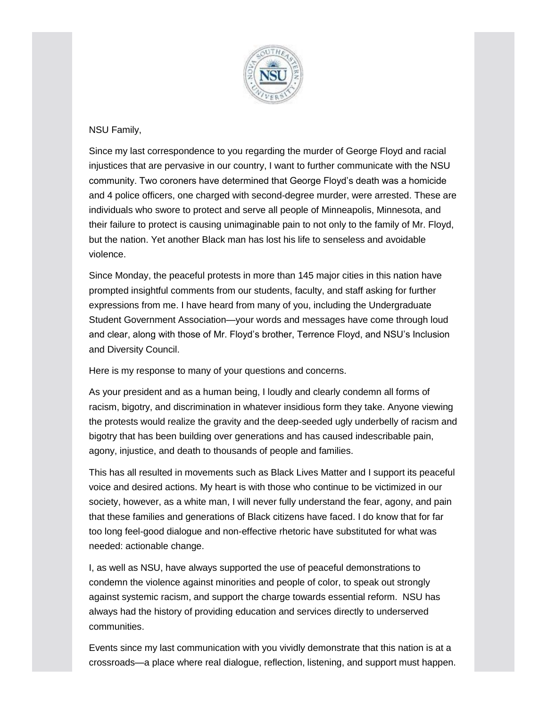

## NSU Family,

Since my last correspondence to you regarding the murder of George Floyd and racial injustices that are pervasive in our country, I want to further communicate with the NSU community. Two coroners have determined that George Floyd's death was a homicide and 4 police officers, one charged with second-degree murder, were arrested. These are individuals who swore to protect and serve all people of Minneapolis, Minnesota, and their failure to protect is causing unimaginable pain to not only to the family of Mr. Floyd, but the nation. Yet another Black man has lost his life to senseless and avoidable violence.

Since Monday, the peaceful protests in more than 145 major cities in this nation have prompted insightful comments from our students, faculty, and staff asking for further expressions from me. I have heard from many of you, including the Undergraduate Student Government Association—your words and messages have come through loud and clear, along with those of Mr. Floyd's brother, Terrence Floyd, and NSU's Inclusion and Diversity Council.

Here is my response to many of your questions and concerns.

As your president and as a human being, I loudly and clearly condemn all forms of racism, bigotry, and discrimination in whatever insidious form they take. Anyone viewing the protests would realize the gravity and the deep-seeded ugly underbelly of racism and bigotry that has been building over generations and has caused indescribable pain, agony, injustice, and death to thousands of people and families.

This has all resulted in movements such as Black Lives Matter and I support its peaceful voice and desired actions. My heart is with those who continue to be victimized in our society, however, as a white man, I will never fully understand the fear, agony, and pain that these families and generations of Black citizens have faced. I do know that for far too long feel-good dialogue and non-effective rhetoric have substituted for what was needed: actionable change.

I, as well as NSU, have always supported the use of peaceful demonstrations to condemn the violence against minorities and people of color, to speak out strongly against systemic racism, and support the charge towards essential reform. NSU has always had the history of providing education and services directly to underserved communities.

Events since my last communication with you vividly demonstrate that this nation is at a crossroads—a place where real dialogue, reflection, listening, and support must happen.